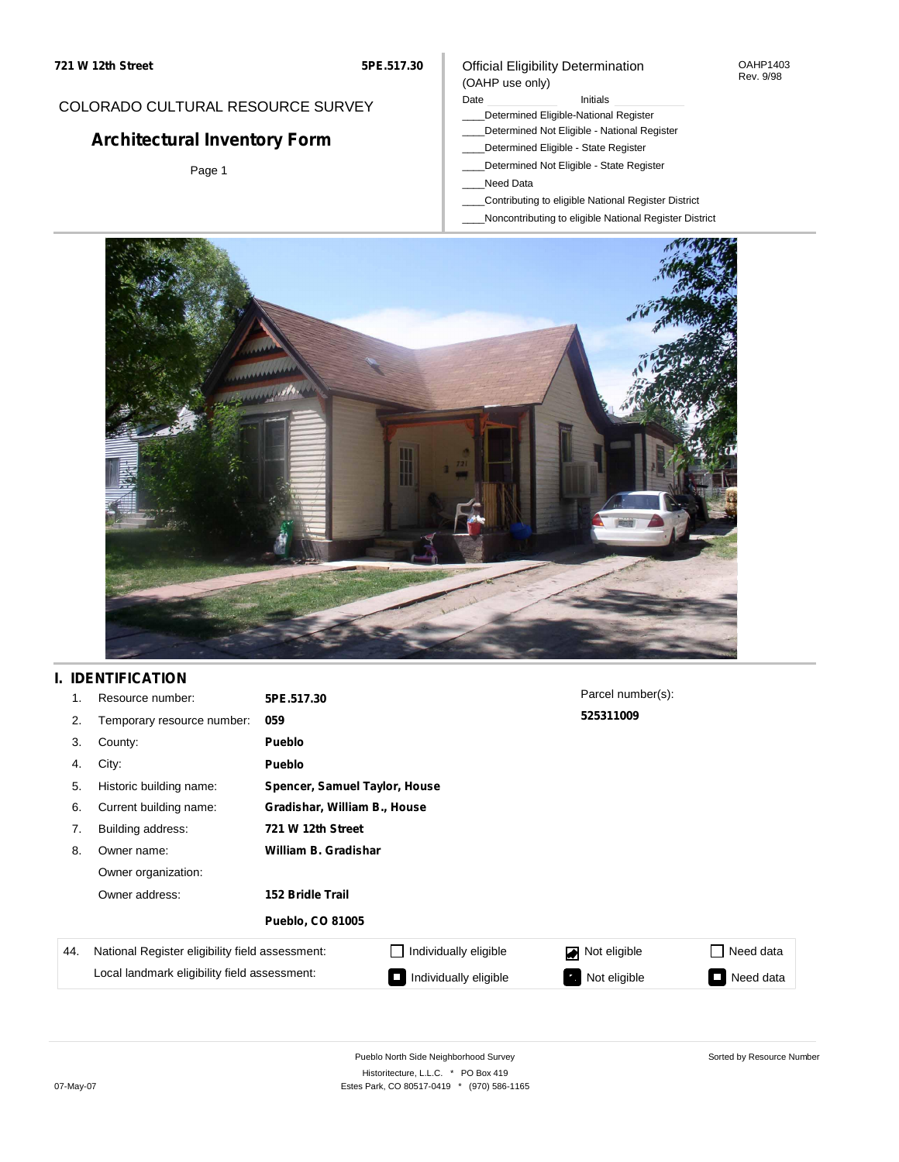#### OAHP1403 Rev. 9/98

## COLORADO CULTURAL RESOURCE SURVEY

# **Architectural Inventory Form**

Page 1

#### (OAHP use only) Date **Initials** Initials

Official Eligibility Determination

- \_\_\_\_Determined Eligible-National Register
- \_\_\_\_Determined Not Eligible National Register
- \_\_\_\_Determined Eligible State Register
- \_\_\_\_Determined Not Eligible State Register
- \_\_\_\_Need Data
- \_\_\_\_Contributing to eligible National Register District
- \_\_\_\_Noncontributing to eligible National Register District



## **I. IDENTIFICATION**

| 1.  | Resource number:                                | 5PE.517.30              |                               | Parcel number(s): |           |  |  |  |
|-----|-------------------------------------------------|-------------------------|-------------------------------|-------------------|-----------|--|--|--|
| 2.  | Temporary resource number:                      | 059                     |                               | 525311009         |           |  |  |  |
| 3.  | County:                                         | Pueblo                  |                               |                   |           |  |  |  |
| 4.  | City:                                           | <b>Pueblo</b>           |                               |                   |           |  |  |  |
| 5.  | Historic building name:                         |                         | Spencer, Samuel Taylor, House |                   |           |  |  |  |
| 6.  | Current building name:                          |                         | Gradishar, William B., House  |                   |           |  |  |  |
| 7.  | Building address:                               | 721 W 12th Street       |                               |                   |           |  |  |  |
| 8.  | Owner name:                                     | William B. Gradishar    |                               |                   |           |  |  |  |
|     | Owner organization:                             |                         |                               |                   |           |  |  |  |
|     | Owner address:                                  | <b>152 Bridle Trail</b> |                               |                   |           |  |  |  |
|     |                                                 | <b>Pueblo, CO 81005</b> |                               |                   |           |  |  |  |
| 44. | National Register eligibility field assessment: |                         | Individually eligible         | Not eligible      | Need data |  |  |  |
|     | Local landmark eligibility field assessment:    |                         | Individually eligible         | Not eligible      | Need data |  |  |  |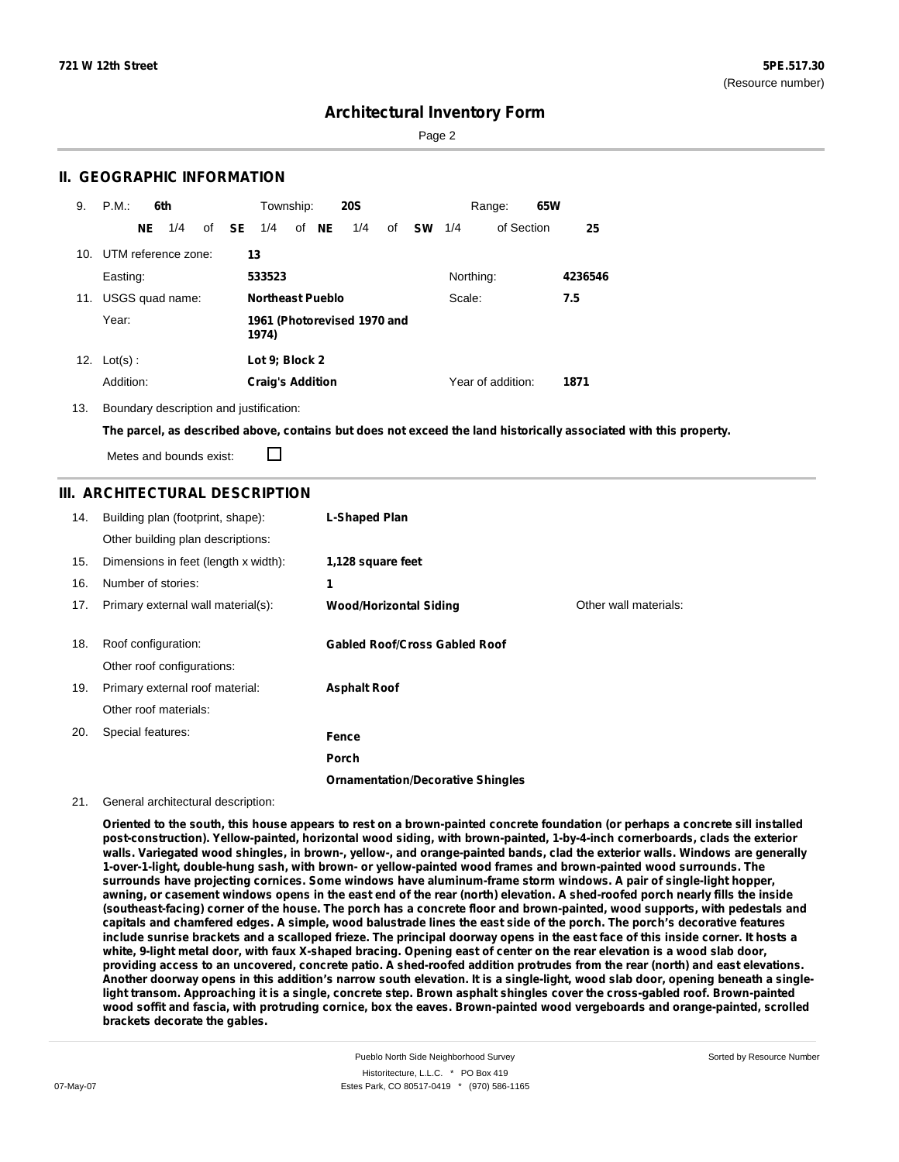Sorted by Resource Number

## **Architectural Inventory Form**

Page 2

### **II. GEOGRAPHIC INFORMATION**

| 9.  | P.M.                    |     | 6th             |              | Township:               |       | <b>20S</b>                  |    |           |           | Range:            | 65W |         |
|-----|-------------------------|-----|-----------------|--------------|-------------------------|-------|-----------------------------|----|-----------|-----------|-------------------|-----|---------|
|     |                         | NE. | 1/4             | of <b>SE</b> | 1/4                     | of NE | 1/4                         | of | <b>SW</b> | 1/4       | of Section        |     | 25      |
|     | 10. UTM reference zone: |     |                 |              | 13                      |       |                             |    |           |           |                   |     |         |
|     | Easting:                |     |                 |              | 533523                  |       |                             |    |           | Northing: |                   |     | 4236546 |
| 11. |                         |     | USGS quad name: |              | <b>Northeast Pueblo</b> |       |                             |    |           | Scale:    |                   |     | 7.5     |
|     | Year:                   |     |                 |              | 1974)                   |       | 1961 (Photorevised 1970 and |    |           |           |                   |     |         |
| 12. | $Lot(s)$ :              |     |                 |              | Lot 9; Block 2          |       |                             |    |           |           |                   |     |         |
|     | Addition:               |     |                 |              | <b>Craig's Addition</b> |       |                             |    |           |           | Year of addition: |     | 1871    |

13. Boundary description and justification:

The parcel, as described above, contains but does not exceed the land historically associated with this property.

Metes and bounds exist:

П

### **III. ARCHITECTURAL DESCRIPTION**

| 14. | Building plan (footprint, shape):<br>Other building plan descriptions: | L-Shaped Plan                            |                       |
|-----|------------------------------------------------------------------------|------------------------------------------|-----------------------|
| 15. | Dimensions in feet (length x width):                                   | 1,128 square feet                        |                       |
| 16. | Number of stories:                                                     | 1                                        |                       |
| 17. | Primary external wall material(s):                                     | <b>Wood/Horizontal Siding</b>            | Other wall materials: |
|     |                                                                        |                                          |                       |
| 18. | Roof configuration:                                                    | <b>Gabled Roof/Cross Gabled Roof</b>     |                       |
|     | Other roof configurations:                                             |                                          |                       |
| 19. | Primary external roof material:                                        | <b>Asphalt Roof</b>                      |                       |
|     | Other roof materials:                                                  |                                          |                       |
| 20. | Special features:                                                      | Fence                                    |                       |
|     |                                                                        | <b>Porch</b>                             |                       |
|     |                                                                        | <b>Ornamentation/Decorative Shingles</b> |                       |

#### 21. General architectural description:

Oriented to the south, this house appears to rest on a brown-painted concrete foundation (or perhaps a concrete sill installed **post-construction). Yellow-painted, horizontal wood siding, with brown-painted, 1-by-4-inch cornerboards, clads the exterior** walls. Variegated wood shingles, in brown-, yellow-, and orange-painted bands, clad the exterior walls. Windows are generally **1-over-1-light, double-hung sash, with brown- or yellow-painted wood frames and brown-painted wood surrounds. The surrounds have projecting cornices. Some windows have aluminum-frame storm windows. A pair of single-light hopper,** awning, or casement windows opens in the east end of the rear (north) elevation. A shed-roofed porch nearly fills the inside (southeast-facing) corner of the house. The porch has a concrete floor and brown-painted, wood supports, with pedestals and capitals and chamfered edges. A simple, wood balustrade lines the east side of the porch. The porch's decorative features include sunrise brackets and a scalloped frieze. The principal doorway opens in the east face of this inside corner. It hosts a white, 9-light metal door, with faux X-shaped bracing. Opening east of center on the rear elevation is a wood slab door, providing access to an uncovered, concrete patio. A shed-roofed addition protrudes from the rear (north) and east elevations. Another doorway opens in this addition's narrow south elevation. It is a single-light, wood slab door, opening beneath a singlelight transom. Approaching it is a single, concrete step. Brown asphalt shingles cover the cross-gabled roof. Brown-painted wood soffit and fascia, with protruding cornice, box the eaves. Brown-painted wood vergeboards and orange-painted, scrolled **brackets decorate the gables.**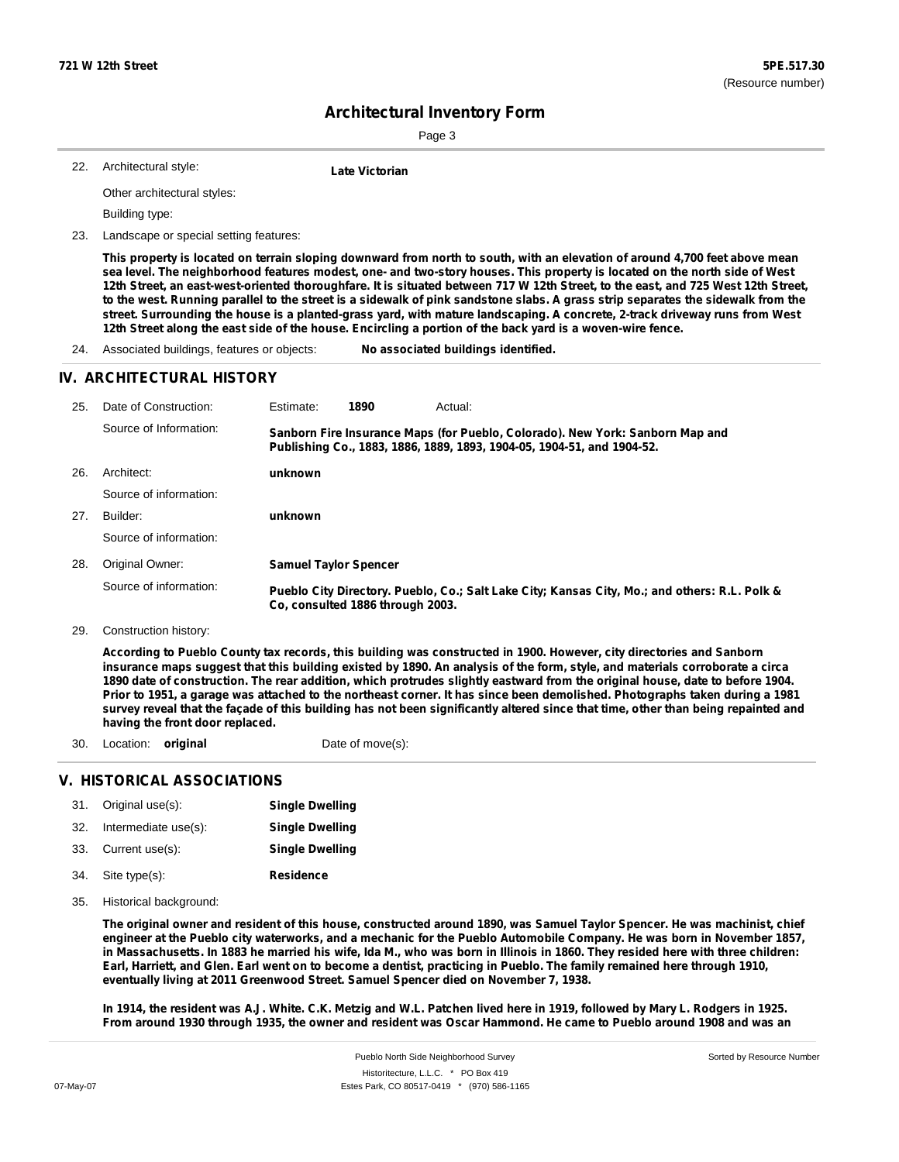Page 3

| -22. | Architectural style: | Late Victorian |
|------|----------------------|----------------|

Other architectural styles:

Building type:

23. Landscape or special setting features:

This property is located on terrain sloping downward from north to south, with an elevation of around 4,700 feet above mean sea level. The neighborhood features modest, one- and two-story houses. This property is located on the north side of West 12th Street, an east-west-oriented thoroughfare. It is situated between 717 W 12th Street, to the east, and 725 West 12th Street, to the west. Running parallel to the street is a sidewalk of pink sandstone slabs. A grass strip separates the sidewalk from the street. Surrounding the house is a planted-grass yard, with mature landscaping. A concrete, 2-track driveway runs from West 12th Street along the east side of the house. Encircling a portion of the back yard is a woven-wire fence.

24. Associated buildings, features or objects: **No associated buildings identified.**

#### **IV. ARCHITECTURAL HISTORY**

| 25. | Date of Construction:  | Estimate:                    | 1890                             | Actual:                                                                                                                                                 |
|-----|------------------------|------------------------------|----------------------------------|---------------------------------------------------------------------------------------------------------------------------------------------------------|
|     | Source of Information: |                              |                                  | Sanborn Fire Insurance Maps (for Pueblo, Colorado). New York: Sanborn Map and<br>Publishing Co., 1883, 1886, 1889, 1893, 1904-05, 1904-51, and 1904-52. |
| 26. | Architect:             | unknown                      |                                  |                                                                                                                                                         |
|     | Source of information: |                              |                                  |                                                                                                                                                         |
| 27. | Builder:               | unknown                      |                                  |                                                                                                                                                         |
|     | Source of information: |                              |                                  |                                                                                                                                                         |
| 28. | Original Owner:        | <b>Samuel Taylor Spencer</b> |                                  |                                                                                                                                                         |
|     | Source of information: |                              | Co, consulted 1886 through 2003. | Pueblo City Directory. Pueblo, Co.; Salt Lake City; Kansas City, Mo.; and others: R.L. Polk &                                                           |

29. Construction history:

According to Pueblo County tax records, this building was constructed in 1900. However, city directories and Sanborn insurance maps suggest that this building existed by 1890. An analysis of the form, style, and materials corroborate a circa 1890 date of construction. The rear addition, which protrudes slightly eastward from the original house, date to before 1904. Prior to 1951, a garage was attached to the northeast corner. It has since been demolished. Photographs taken during a 1981 survey reveal that the façade of this building has not been significantly altered since that time, other than being repainted and **having the front door replaced.**

- 30. Location: **original Date of move(s):** 
	-

### **V. HISTORICAL ASSOCIATIONS**

| 31. | Original use(s):     | <b>Single Dwelling</b> |
|-----|----------------------|------------------------|
| 32. | Intermediate use(s): | <b>Single Dwelling</b> |
| 33. | Current use(s):      | <b>Single Dwelling</b> |
| 34. | Site type(s):        | <b>Residence</b>       |

35. Historical background:

The original owner and resident of this house, constructed around 1890, was Samuel Taylor Spencer. He was machinist, chief engineer at the Pueblo city waterworks, and a mechanic for the Pueblo Automobile Company. He was born in November 1857, in Massachusetts. In 1883 he married his wife, Ida M., who was born in Illinois in 1860. They resided here with three children: Earl, Harriett, and Glen. Earl went on to become a dentist, practicing in Pueblo. The family remained here through 1910, **eventually living at 2011 Greenwood Street. Samuel Spencer died on November 7, 1938.**

In 1914, the resident was A.J. White. C.K. Metzig and W.L. Patchen lived here in 1919, followed by Mary L. Rodgers in 1925. From around 1930 through 1935, the owner and resident was Oscar Hammond. He came to Pueblo around 1908 and was an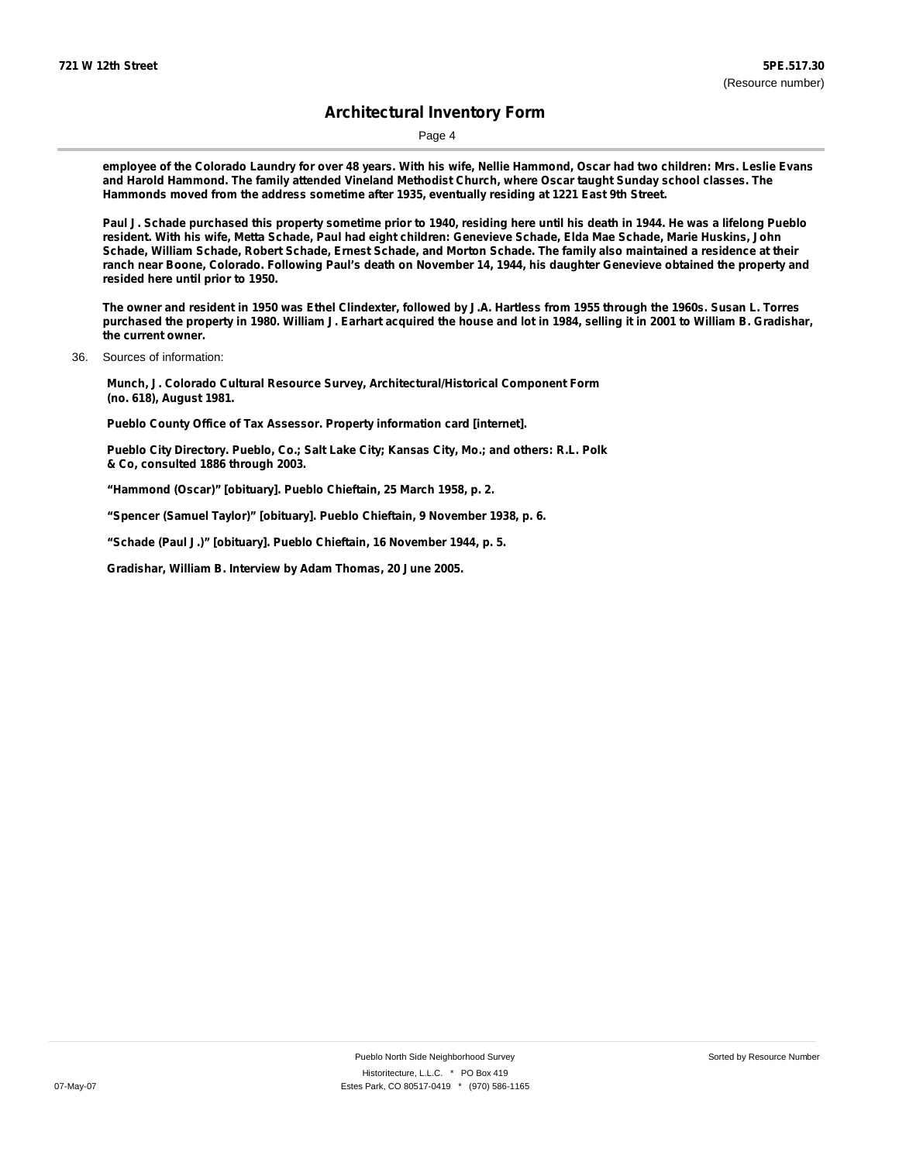Page 4

employee of the Colorado Laundry for over 48 years. With his wife, Nellie Hammond, Oscar had two children: Mrs. Leslie Evans **and Harold Hammond. The family attended Vineland Methodist Church, where Oscar taught Sunday school classes. The Hammonds moved from the address sometime after 1935, eventually residing at 1221 East 9th Street.**

Paul J. Schade purchased this property sometime prior to 1940, residing here until his death in 1944. He was a lifelong Pueblo resident. With his wife, Metta Schade, Paul had eight children: Genevieve Schade, Elda Mae Schade, Marie Huskins, John Schade, William Schade, Robert Schade, Ernest Schade, and Morton Schade. The family also maintained a residence at their ranch near Boone, Colorado. Following Paul's death on November 14, 1944, his daughter Genevieve obtained the property and **resided here until prior to 1950.**

The owner and resident in 1950 was Ethel Clindexter, followed by J.A. Hartless from 1955 through the 1960s. Susan L. Torres purchased the property in 1980. William J. Earhart acquired the house and lot in 1984, selling it in 2001 to William B. Gradishar, **the current owner.**

36. Sources of information:

**Munch, J. Colorado Cultural Resource Survey, Architectural/Historical Component Form (no. 618), August 1981.**

**Pueblo County Office of Tax Assessor. Property information card [internet].**

**Pueblo City Directory. Pueblo, Co.; Salt Lake City; Kansas City, Mo.; and others: R.L. Polk & Co, consulted 1886 through 2003.**

**"Hammond (Oscar)" [obituary]. Pueblo Chieftain, 25 March 1958, p. 2.**

**"Spencer (Samuel Taylor)" [obituary]. Pueblo Chieftain, 9 November 1938, p. 6.**

**"Schade (Paul J.)" [obituary]. Pueblo Chieftain, 16 November 1944, p. 5.**

**Gradishar, William B. Interview by Adam Thomas, 20 June 2005.**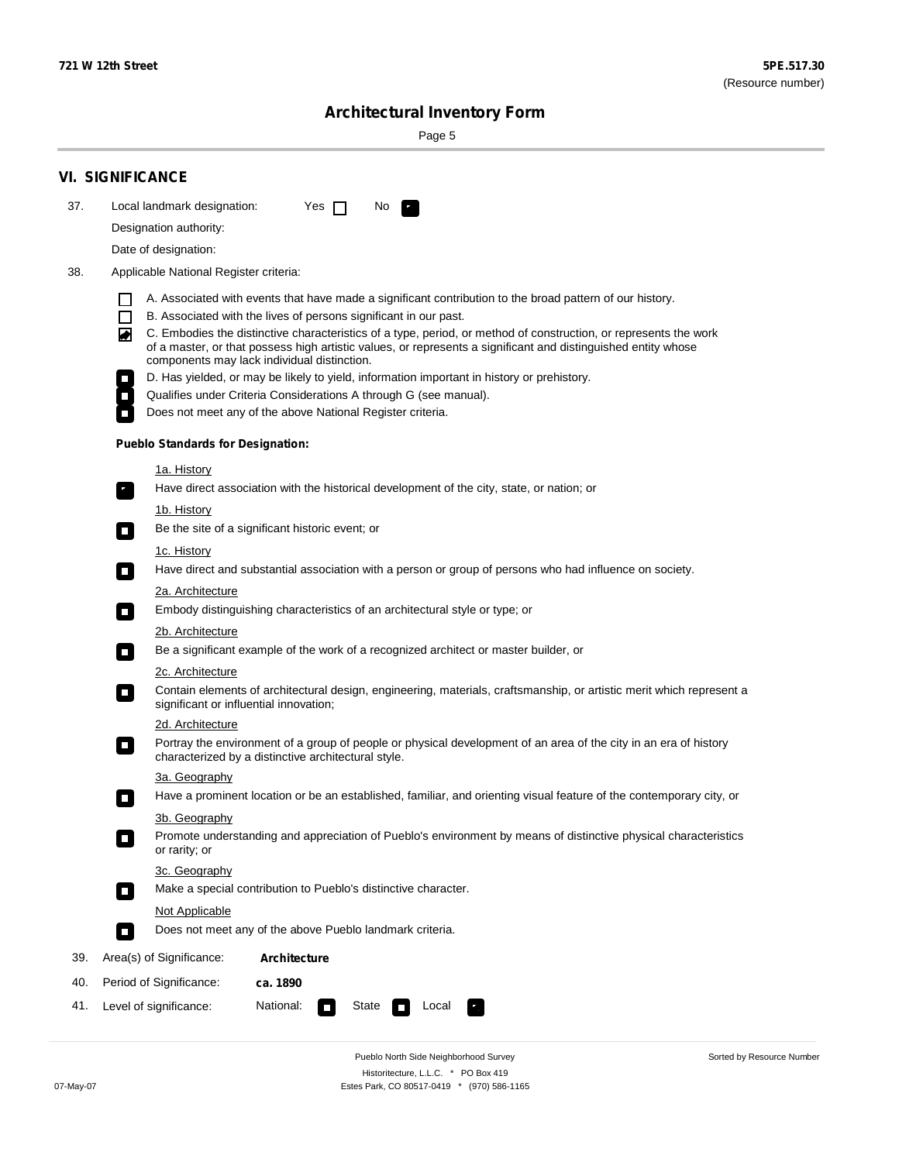Sorted by Resource Number

# **Architectural Inventory Form**

Page 5

|     | <b>VI. SIGNIFICANCE</b>                                                                                                                                                                                                                                                               |  |  |  |  |  |  |
|-----|---------------------------------------------------------------------------------------------------------------------------------------------------------------------------------------------------------------------------------------------------------------------------------------|--|--|--|--|--|--|
| 37. | Local landmark designation:<br>Yes $\Box$<br>No.                                                                                                                                                                                                                                      |  |  |  |  |  |  |
|     | Designation authority:                                                                                                                                                                                                                                                                |  |  |  |  |  |  |
|     | Date of designation:                                                                                                                                                                                                                                                                  |  |  |  |  |  |  |
| 38. | Applicable National Register criteria:                                                                                                                                                                                                                                                |  |  |  |  |  |  |
|     | A. Associated with events that have made a significant contribution to the broad pattern of our history.                                                                                                                                                                              |  |  |  |  |  |  |
|     | B. Associated with the lives of persons significant in our past.                                                                                                                                                                                                                      |  |  |  |  |  |  |
|     | C. Embodies the distinctive characteristics of a type, period, or method of construction, or represents the work<br>◙<br>of a master, or that possess high artistic values, or represents a significant and distinguished entity whose<br>components may lack individual distinction. |  |  |  |  |  |  |
|     | D. Has yielded, or may be likely to yield, information important in history or prehistory.                                                                                                                                                                                            |  |  |  |  |  |  |
|     | Qualifies under Criteria Considerations A through G (see manual).                                                                                                                                                                                                                     |  |  |  |  |  |  |
|     | Does not meet any of the above National Register criteria.                                                                                                                                                                                                                            |  |  |  |  |  |  |
|     | <b>Pueblo Standards for Designation:</b>                                                                                                                                                                                                                                              |  |  |  |  |  |  |
|     | <u>1a. History</u>                                                                                                                                                                                                                                                                    |  |  |  |  |  |  |
|     | Have direct association with the historical development of the city, state, or nation; or<br>$\overline{\phantom{a}}$ .                                                                                                                                                               |  |  |  |  |  |  |
|     | <u>1b. History</u>                                                                                                                                                                                                                                                                    |  |  |  |  |  |  |
|     | Be the site of a significant historic event; or<br>$\Box$                                                                                                                                                                                                                             |  |  |  |  |  |  |
|     | 1c. History<br>Have direct and substantial association with a person or group of persons who had influence on society.<br>$\sim$                                                                                                                                                      |  |  |  |  |  |  |
|     | 2a. Architecture                                                                                                                                                                                                                                                                      |  |  |  |  |  |  |
|     | Embody distinguishing characteristics of an architectural style or type; or<br>$\overline{\phantom{a}}$                                                                                                                                                                               |  |  |  |  |  |  |
|     | 2b. Architecture                                                                                                                                                                                                                                                                      |  |  |  |  |  |  |
|     | Be a significant example of the work of a recognized architect or master builder, or<br>$\overline{\phantom{a}}$                                                                                                                                                                      |  |  |  |  |  |  |
|     | 2c. Architecture                                                                                                                                                                                                                                                                      |  |  |  |  |  |  |
|     | Contain elements of architectural design, engineering, materials, craftsmanship, or artistic merit which represent a<br>$\mathcal{L}_{\mathcal{A}}$<br>significant or influential innovation;                                                                                         |  |  |  |  |  |  |
|     | 2d. Architecture                                                                                                                                                                                                                                                                      |  |  |  |  |  |  |
|     | Portray the environment of a group of people or physical development of an area of the city in an era of history<br>$\mathcal{L}_{\mathcal{A}}$<br>characterized by a distinctive architectural style.                                                                                |  |  |  |  |  |  |
|     | 3a. Geography                                                                                                                                                                                                                                                                         |  |  |  |  |  |  |
|     | Have a prominent location or be an established, familiar, and orienting visual feature of the contemporary city, or<br>П                                                                                                                                                              |  |  |  |  |  |  |
|     | 3b. Geography                                                                                                                                                                                                                                                                         |  |  |  |  |  |  |
|     | Promote understanding and appreciation of Pueblo's environment by means of distinctive physical characteristics<br>or rarity; or                                                                                                                                                      |  |  |  |  |  |  |
|     | 3c. Geography                                                                                                                                                                                                                                                                         |  |  |  |  |  |  |
|     | Make a special contribution to Pueblo's distinctive character.<br>О                                                                                                                                                                                                                   |  |  |  |  |  |  |
|     | Not Applicable                                                                                                                                                                                                                                                                        |  |  |  |  |  |  |
|     | Does not meet any of the above Pueblo landmark criteria.<br>$\overline{\phantom{a}}$                                                                                                                                                                                                  |  |  |  |  |  |  |
| 39. | Area(s) of Significance:<br><b>Architecture</b>                                                                                                                                                                                                                                       |  |  |  |  |  |  |
| 40. | Period of Significance:<br>ca. 1890                                                                                                                                                                                                                                                   |  |  |  |  |  |  |
| 41. | National:<br>Level of significance:<br>State<br>Local<br>$\overline{\phantom{a}}$                                                                                                                                                                                                     |  |  |  |  |  |  |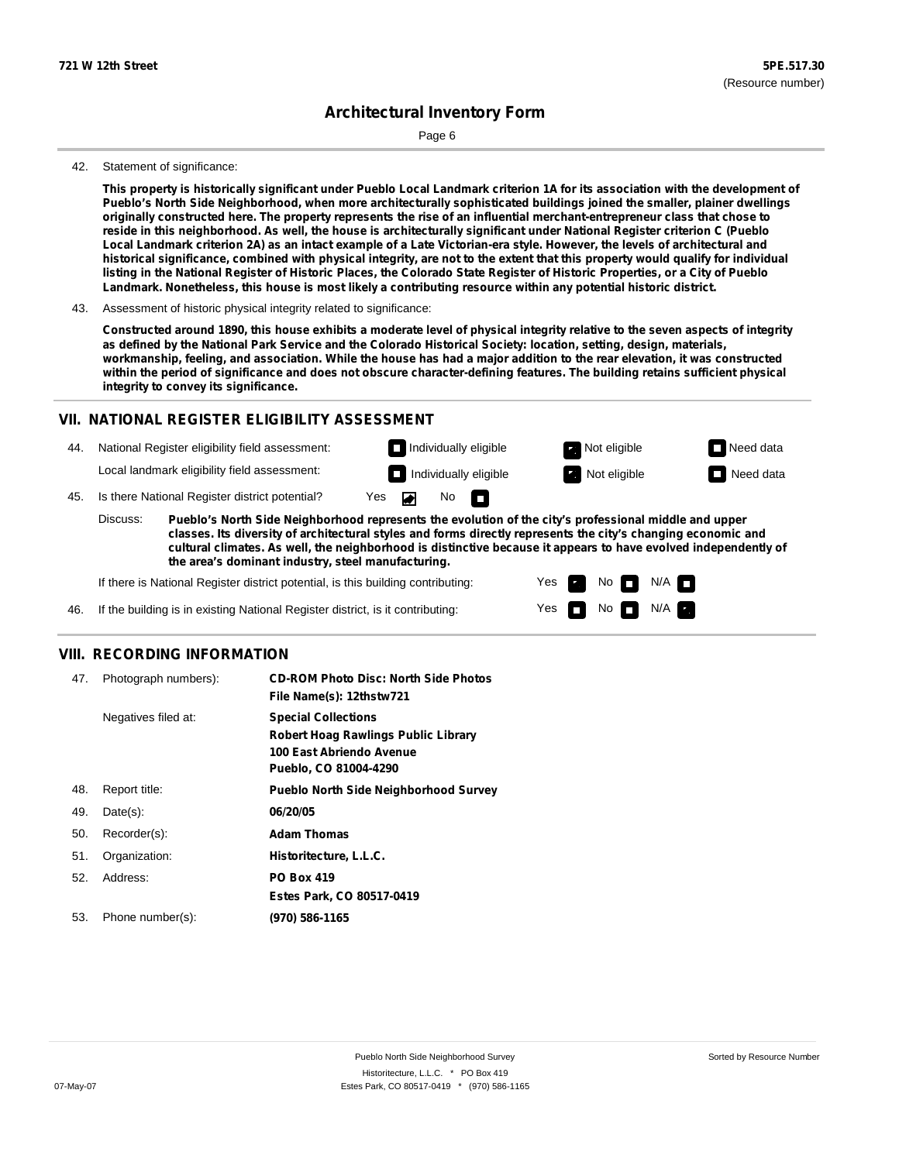Page 6

#### 42. Statement of significance:

This property is historically significant under Pueblo Local Landmark criterion 1A for its association with the development of **Pueblo's North Side Neighborhood, when more architecturally sophisticated buildings joined the smaller, plainer dwellings** originally constructed here. The property represents the rise of an influential merchant-entrepreneur class that chose to reside in this neighborhood. As well, the house is architecturally significant under National Register criterion C (Pueblo Local Landmark criterion 2A) as an intact example of a Late Victorian-era style. However, the levels of architectural and historical significance, combined with physical integrity, are not to the extent that this property would qualify for individual listing in the National Register of Historic Places, the Colorado State Register of Historic Properties, or a City of Pueblo **Landmark. Nonetheless, this house is most likely a contributing resource within any potential historic district.**

Constructed around 1890, this house exhibits a moderate level of physical integrity relative to the seven aspects of integrity as defined by the National Park Service and the Colorado Historical Society: location, setting, design, materials, workmanship, feeling, and association. While the house has had a major addition to the rear elevation, it was constructed within the period of significance and does not obscure character-defining features. The building retains sufficient physical **integrity to convey its significance.**

#### **VII. NATIONAL REGISTER ELIGIBILITY ASSESSMENT**

44. National Register eligibility field assessment: Local landmark eligibility field assessment:

**Individually eligible Not eligible** Not eligible **Need data** 45. Is there National Register district potential? Yes No m

**Pueblo's North Side Neighborhood represents the evolution of the city's professional middle and upper classes. Its diversity of architectural styles and forms directly represents the city's changing economic and cultural climates. As well, the neighborhood is distinctive because it appears to have evolved independently of the area's dominant industry, steel manufacturing.** Discuss:

> Yes Yes

No

**Individually eligible Not eligible** Not eligible **Need data** 

 $No$   $\neg$   $N/A$ 

 $N/A$ 

If there is National Register district potential, is this building contributing:

If the building is in existing National Register district, is it contributing: 46.

### **VIII. RECORDING INFORMATION**

| 47. | Photograph numbers): | <b>CD-ROM Photo Disc: North Side Photos</b><br>File Name(s): 12thstw721                                                       |
|-----|----------------------|-------------------------------------------------------------------------------------------------------------------------------|
|     | Negatives filed at:  | <b>Special Collections</b><br><b>Robert Hoag Rawlings Public Library</b><br>100 East Abriendo Avenue<br>Pueblo, CO 81004-4290 |
| 48. | Report title:        | <b>Pueblo North Side Neighborhood Survey</b>                                                                                  |
| 49. | $Date(s)$ :          | 06/20/05                                                                                                                      |
| 50. | Recorder(s):         | <b>Adam Thomas</b>                                                                                                            |
| 51. | Organization:        | Historitecture, L.L.C.                                                                                                        |
| 52. | Address:             | <b>PO Box 419</b>                                                                                                             |
|     |                      | Estes Park, CO 80517-0419                                                                                                     |
| 53. | Phone number(s):     | (970) 586-1165                                                                                                                |

<sup>43.</sup> Assessment of historic physical integrity related to significance: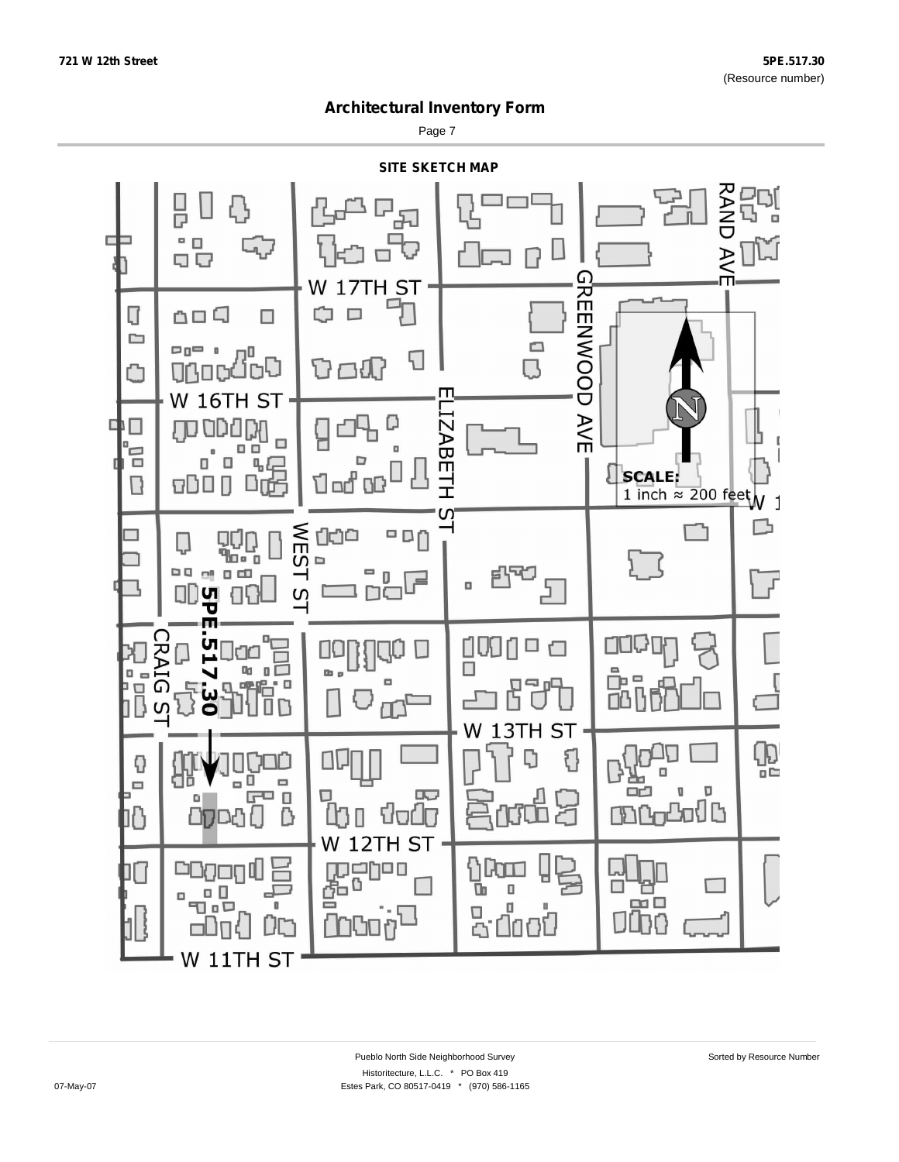Page 7